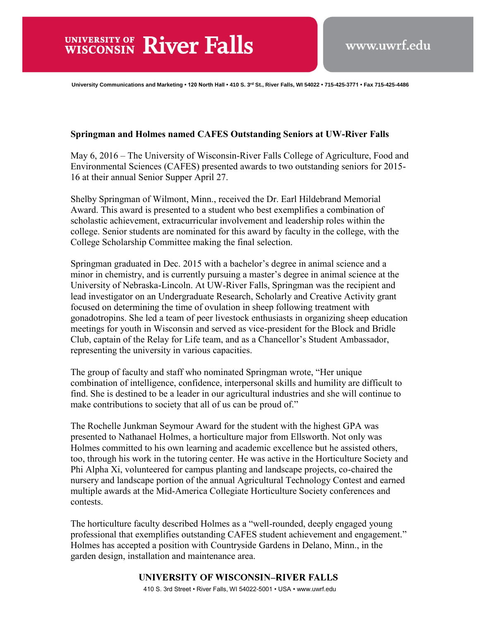**University Communications and Marketing • 120 North Hall • 410 S. 3rd St., River Falls, WI 54022 • 715-425-3771 • Fax 715-425-4486** 

## **Springman and Holmes named CAFES Outstanding Seniors at UW-River Falls**

May 6, 2016 – The University of Wisconsin-River Falls College of Agriculture, Food and Environmental Sciences (CAFES) presented awards to two outstanding seniors for 2015- 16 at their annual Senior Supper April 27.

Shelby Springman of Wilmont, Minn., received the Dr. Earl Hildebrand Memorial Award. This award is presented to a student who best exemplifies a combination of scholastic achievement, extracurricular involvement and leadership roles within the college. Senior students are nominated for this award by faculty in the college, with the College Scholarship Committee making the final selection.

Springman graduated in Dec. 2015 with a bachelor's degree in animal science and a minor in chemistry, and is currently pursuing a master's degree in animal science at the University of Nebraska-Lincoln. At UW-River Falls, Springman was the recipient and lead investigator on an Undergraduate Research, Scholarly and Creative Activity grant focused on determining the time of ovulation in sheep following treatment with gonadotropins. She led a team of peer livestock enthusiasts in organizing sheep education meetings for youth in Wisconsin and served as vice-president for the Block and Bridle Club, captain of the Relay for Life team, and as a Chancellor's Student Ambassador, representing the university in various capacities.

The group of faculty and staff who nominated Springman wrote, "Her unique combination of intelligence, confidence, interpersonal skills and humility are difficult to find. She is destined to be a leader in our agricultural industries and she will continue to make contributions to society that all of us can be proud of."

The Rochelle Junkman Seymour Award for the student with the highest GPA was presented to Nathanael Holmes, a horticulture major from Ellsworth. Not only was Holmes committed to his own learning and academic excellence but he assisted others, too, through his work in the tutoring center. He was active in the Horticulture Society and Phi Alpha Xi, volunteered for campus planting and landscape projects, co-chaired the nursery and landscape portion of the annual Agricultural Technology Contest and earned multiple awards at the Mid-America Collegiate Horticulture Society conferences and contests.

The horticulture faculty described Holmes as a "well-rounded, deeply engaged young professional that exemplifies outstanding CAFES student achievement and engagement." Holmes has accepted a position with Countryside Gardens in Delano, Minn., in the garden design, installation and maintenance area.

## UNIVERSITY OF WISCONSIN-RIVER FALLS